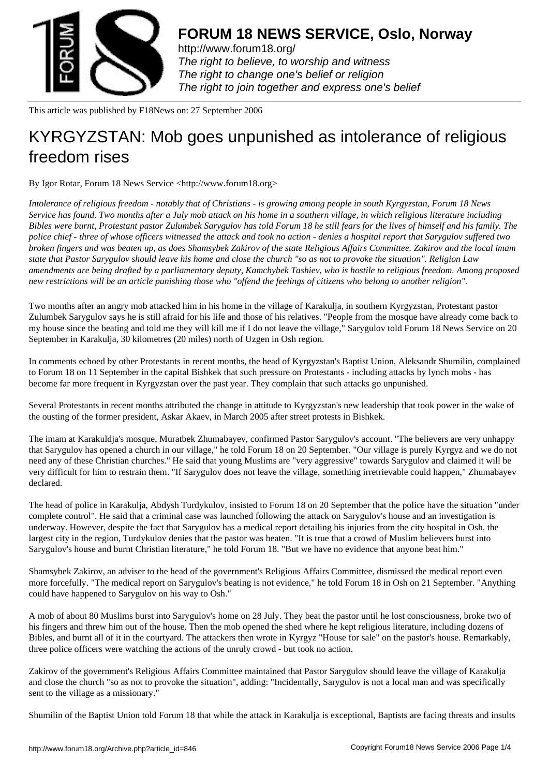

http://www.forum18.org/ The right to believe, to worship and witness The right to change one's belief or religion [The right to join together](http://www.forum18.org/) and express one's belief

This article was published by F18News on: 27 September 2006

## [KYRGYZSTAN: M](http://www.forum18.org)ob goes unpunished as intolerance of religious freedom rises

By Igor Rotar, Forum 18 News Service <http://www.forum18.org>

*Intolerance of religious freedom - notably that of Christians - is growing among people in south Kyrgyzstan, Forum 18 News Service has found. Two months after a July mob attack on his home in a southern village, in which religious literature including Bibles were burnt, Protestant pastor Zulumbek Sarygulov has told Forum 18 he still fears for the lives of himself and his family. The police chief - three of whose officers witnessed the attack and took no action - denies a hospital report that Sarygulov suffered two broken fingers and was beaten up, as does Shamsybek Zakirov of the state Religious Affairs Committee. Zakirov and the local imam state that Pastor Sarygulov should leave his home and close the church "so as not to provoke the situation". Religion Law amendments are being drafted by a parliamentary deputy, Kamchybek Tashiev, who is hostile to religious freedom. Among proposed new restrictions will be an article punishing those who "offend the feelings of citizens who belong to another religion".*

Two months after an angry mob attacked him in his home in the village of Karakulja, in southern Kyrgyzstan, Protestant pastor Zulumbek Sarygulov says he is still afraid for his life and those of his relatives. "People from the mosque have already come back to my house since the beating and told me they will kill me if I do not leave the village," Sarygulov told Forum 18 News Service on 20 September in Karakulja, 30 kilometres (20 miles) north of Uzgen in Osh region.

In comments echoed by other Protestants in recent months, the head of Kyrgyzstan's Baptist Union, Aleksandr Shumilin, complained to Forum 18 on 11 September in the capital Bishkek that such pressure on Protestants - including attacks by lynch mobs - has become far more frequent in Kyrgyzstan over the past year. They complain that such attacks go unpunished.

Several Protestants in recent months attributed the change in attitude to Kyrgyzstan's new leadership that took power in the wake of the ousting of the former president, Askar Akaev, in March 2005 after street protests in Bishkek.

The imam at Karakuldja's mosque, Muratbek Zhumabayev, confirmed Pastor Sarygulov's account. "The believers are very unhappy that Sarygulov has opened a church in our village," he told Forum 18 on 20 September. "Our village is purely Kyrgyz and we do not need any of these Christian churches." He said that young Muslims are "very aggressive" towards Sarygulov and claimed it will be very difficult for him to restrain them. "If Sarygulov does not leave the village, something irretrievable could happen," Zhumabayev declared.

The head of police in Karakulja, Abdysh Turdykulov, insisted to Forum 18 on 20 September that the police have the situation "under complete control". He said that a criminal case was launched following the attack on Sarygulov's house and an investigation is underway. However, despite the fact that Sarygulov has a medical report detailing his injuries from the city hospital in Osh, the largest city in the region, Turdykulov denies that the pastor was beaten. "It is true that a crowd of Muslim believers burst into Sarygulov's house and burnt Christian literature," he told Forum 18. "But we have no evidence that anyone beat him."

Shamsybek Zakirov, an adviser to the head of the government's Religious Affairs Committee, dismissed the medical report even more forcefully. "The medical report on Sarygulov's beating is not evidence," he told Forum 18 in Osh on 21 September. "Anything could have happened to Sarygulov on his way to Osh."

A mob of about 80 Muslims burst into Sarygulov's home on 28 July. They beat the pastor until he lost consciousness, broke two of his fingers and threw him out of the house. Then the mob opened the shed where he kept religious literature, including dozens of Bibles, and burnt all of it in the courtyard. The attackers then wrote in Kyrgyz "House for sale" on the pastor's house. Remarkably, three police officers were watching the actions of the unruly crowd - but took no action.

Zakirov of the government's Religious Affairs Committee maintained that Pastor Sarygulov should leave the village of Karakulja and close the church "so as not to provoke the situation", adding: "Incidentally, Sarygulov is not a local man and was specifically sent to the village as a missionary."

Shumilin of the Baptist Union told Forum 18 that while the attack in Karakulja is exceptional, Baptists are facing threats and insults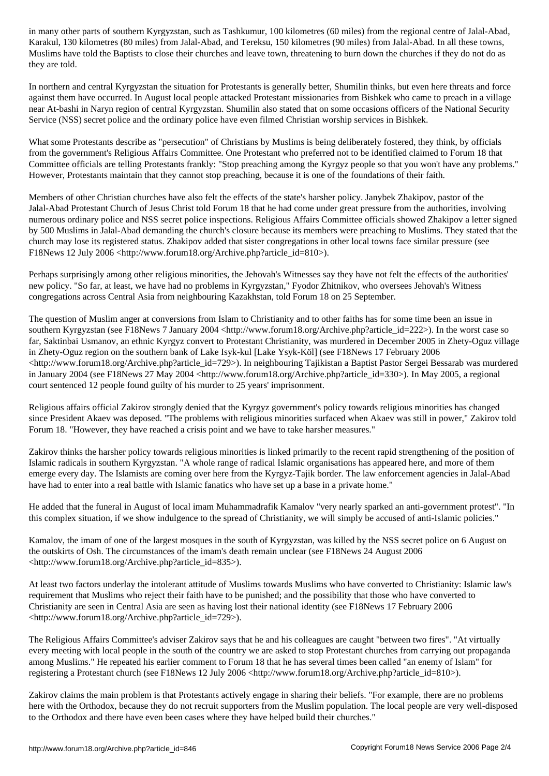Karakul, 130 kilometres (80 miles) from Jalal-Abad, and Tereksu, 150 kilometres (90 miles) from Jalal-Abad. In all these towns, Muslims have told the Baptists to close their churches and leave town, threatening to burn down the churches if they do not do as they are told.

In northern and central Kyrgyzstan the situation for Protestants is generally better, Shumilin thinks, but even here threats and force against them have occurred. In August local people attacked Protestant missionaries from Bishkek who came to preach in a village near At-bashi in Naryn region of central Kyrgyzstan. Shumilin also stated that on some occasions officers of the National Security Service (NSS) secret police and the ordinary police have even filmed Christian worship services in Bishkek.

What some Protestants describe as "persecution" of Christians by Muslims is being deliberately fostered, they think, by officials from the government's Religious Affairs Committee. One Protestant who preferred not to be identified claimed to Forum 18 that Committee officials are telling Protestants frankly: "Stop preaching among the Kyrgyz people so that you won't have any problems." However, Protestants maintain that they cannot stop preaching, because it is one of the foundations of their faith.

Members of other Christian churches have also felt the effects of the state's harsher policy. Janybek Zhakipov, pastor of the Jalal-Abad Protestant Church of Jesus Christ told Forum 18 that he had come under great pressure from the authorities, involving numerous ordinary police and NSS secret police inspections. Religious Affairs Committee officials showed Zhakipov a letter signed by 500 Muslims in Jalal-Abad demanding the church's closure because its members were preaching to Muslims. They stated that the church may lose its registered status. Zhakipov added that sister congregations in other local towns face similar pressure (see F18News 12 July 2006 <http://www.forum18.org/Archive.php?article\_id=810>).

Perhaps surprisingly among other religious minorities, the Jehovah's Witnesses say they have not felt the effects of the authorities' new policy. "So far, at least, we have had no problems in Kyrgyzstan," Fyodor Zhitnikov, who oversees Jehovah's Witness congregations across Central Asia from neighbouring Kazakhstan, told Forum 18 on 25 September.

The question of Muslim anger at conversions from Islam to Christianity and to other faiths has for some time been an issue in southern Kyrgyzstan (see F18News 7 January 2004 <http://www.forum18.org/Archive.php?article\_id=222>). In the worst case so far, Saktinbai Usmanov, an ethnic Kyrgyz convert to Protestant Christianity, was murdered in December 2005 in Zhety-Oguz village in Zhety-Oguz region on the southern bank of Lake Isyk-kul [Lake Ysyk-Köl] (see F18News 17 February 2006 <http://www.forum18.org/Archive.php?article\_id=729>). In neighbouring Tajikistan a Baptist Pastor Sergei Bessarab was murdered in January 2004 (see F18News 27 May 2004 <http://www.forum18.org/Archive.php?article\_id=330>). In May 2005, a regional court sentenced 12 people found guilty of his murder to 25 years' imprisonment.

Religious affairs official Zakirov strongly denied that the Kyrgyz government's policy towards religious minorities has changed since President Akaev was deposed. "The problems with religious minorities surfaced when Akaev was still in power," Zakirov told Forum 18. "However, they have reached a crisis point and we have to take harsher measures."

Zakirov thinks the harsher policy towards religious minorities is linked primarily to the recent rapid strengthening of the position of Islamic radicals in southern Kyrgyzstan. "A whole range of radical Islamic organisations has appeared here, and more of them emerge every day. The Islamists are coming over here from the Kyrgyz-Tajik border. The law enforcement agencies in Jalal-Abad have had to enter into a real battle with Islamic fanatics who have set up a base in a private home."

He added that the funeral in August of local imam Muhammadrafik Kamalov "very nearly sparked an anti-government protest". "In this complex situation, if we show indulgence to the spread of Christianity, we will simply be accused of anti-Islamic policies."

Kamalov, the imam of one of the largest mosques in the south of Kyrgyzstan, was killed by the NSS secret police on 6 August on the outskirts of Osh. The circumstances of the imam's death remain unclear (see F18News 24 August 2006 <http://www.forum18.org/Archive.php?article\_id=835>).

At least two factors underlay the intolerant attitude of Muslims towards Muslims who have converted to Christianity: Islamic law's requirement that Muslims who reject their faith have to be punished; and the possibility that those who have converted to Christianity are seen in Central Asia are seen as having lost their national identity (see F18News 17 February 2006 <http://www.forum18.org/Archive.php?article\_id=729>).

The Religious Affairs Committee's adviser Zakirov says that he and his colleagues are caught "between two fires". "At virtually every meeting with local people in the south of the country we are asked to stop Protestant churches from carrying out propaganda among Muslims." He repeated his earlier comment to Forum 18 that he has several times been called "an enemy of Islam" for registering a Protestant church (see F18News 12 July 2006 <http://www.forum18.org/Archive.php?article\_id=810>).

Zakirov claims the main problem is that Protestants actively engage in sharing their beliefs. "For example, there are no problems here with the Orthodox, because they do not recruit supporters from the Muslim population. The local people are very well-disposed to the Orthodox and there have even been cases where they have helped build their churches."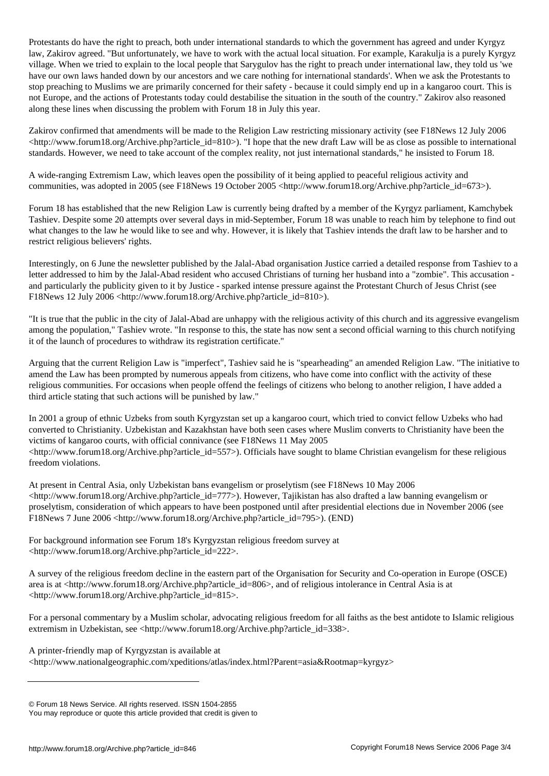Protestants do have the right to preach, both under international standards to which the government has agreed and under Kyrgyz law, Zakirov agreed. "But unfortunately, we have to work with the actual local situation. For example, Karakulja is a purely Kyrgyz village. When we tried to explain to the local people that Sarygulov has the right to preach under international law, they told us 'we have our own laws handed down by our ancestors and we care nothing for international standards'. When we ask the Protestants to stop preaching to Muslims we are primarily concerned for their safety - because it could simply end up in a kangaroo court. This is not Europe, and the actions of Protestants today could destabilise the situation in the south of the country." Zakirov also reasoned along these lines when discussing the problem with Forum 18 in July this year.

Zakirov confirmed that amendments will be made to the Religion Law restricting missionary activity (see F18News 12 July 2006  $\langle$ http://www.forum18.org/Archive.php?article\_id=810>). "I hope that the new draft Law will be as close as possible to international standards. However, we need to take account of the complex reality, not just international standards," he insisted to Forum 18.

A wide-ranging Extremism Law, which leaves open the possibility of it being applied to peaceful religious activity and communities, was adopted in 2005 (see F18News 19 October 2005 <http://www.forum18.org/Archive.php?article\_id=673>).

Forum 18 has established that the new Religion Law is currently being drafted by a member of the Kyrgyz parliament, Kamchybek Tashiev. Despite some 20 attempts over several days in mid-September, Forum 18 was unable to reach him by telephone to find out what changes to the law he would like to see and why. However, it is likely that Tashiev intends the draft law to be harsher and to restrict religious believers' rights.

Interestingly, on 6 June the newsletter published by the Jalal-Abad organisation Justice carried a detailed response from Tashiev to a letter addressed to him by the Jalal-Abad resident who accused Christians of turning her husband into a "zombie". This accusation and particularly the publicity given to it by Justice - sparked intense pressure against the Protestant Church of Jesus Christ (see F18News 12 July 2006 <http://www.forum18.org/Archive.php?article\_id=810>).

"It is true that the public in the city of Jalal-Abad are unhappy with the religious activity of this church and its aggressive evangelism among the population," Tashiev wrote. "In response to this, the state has now sent a second official warning to this church notifying it of the launch of procedures to withdraw its registration certificate."

Arguing that the current Religion Law is "imperfect", Tashiev said he is "spearheading" an amended Religion Law. "The initiative to amend the Law has been prompted by numerous appeals from citizens, who have come into conflict with the activity of these religious communities. For occasions when people offend the feelings of citizens who belong to another religion, I have added a third article stating that such actions will be punished by law."

In 2001 a group of ethnic Uzbeks from south Kyrgyzstan set up a kangaroo court, which tried to convict fellow Uzbeks who had converted to Christianity. Uzbekistan and Kazakhstan have both seen cases where Muslim converts to Christianity have been the victims of kangaroo courts, with official connivance (see F18News 11 May 2005  $\langle$ http://www.forum18.org/Archive.php?article\_id=557>). Officials have sought to blame Christian evangelism for these religious freedom violations.

At present in Central Asia, only Uzbekistan bans evangelism or proselytism (see F18News 10 May 2006  $\text{th}(w)$  /www.forum18.org/Archive.php?article\_id=777>). However, Tajikistan has also drafted a law banning evangelism or proselytism, consideration of which appears to have been postponed until after presidential elections due in November 2006 (see F18News 7 June 2006 <http://www.forum18.org/Archive.php?article\_id=795>). (END)

For background information see Forum 18's Kyrgyzstan religious freedom survey at <http://www.forum18.org/Archive.php?article\_id=222>.

A survey of the religious freedom decline in the eastern part of the Organisation for Security and Co-operation in Europe (OSCE) area is at <http://www.forum18.org/Archive.php?article\_id=806>, and of religious intolerance in Central Asia is at <http://www.forum18.org/Archive.php?article\_id=815>.

For a personal commentary by a Muslim scholar, advocating religious freedom for all faiths as the best antidote to Islamic religious extremism in Uzbekistan, see <http://www.forum18.org/Archive.php?article\_id=338>.

A printer-friendly map of Kyrgyzstan is available at <http://www.nationalgeographic.com/xpeditions/atlas/index.html?Parent=asia&Rootmap=kyrgyz>

© Forum 18 News Service. All rights reserved. ISSN 1504-2855

You may reproduce or quote this article provided that credit is given to